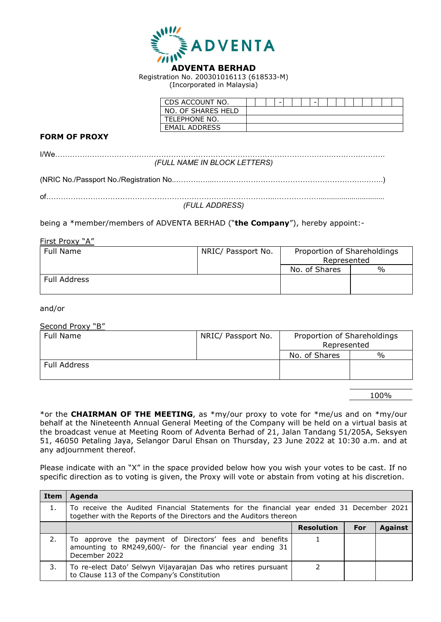

Registration No. 200301016113 (618533-M) (Incorporated in Malaysia)

| CDS ACCOUNT NO.      |  | - |  | - |  |  |  |  |  |
|----------------------|--|---|--|---|--|--|--|--|--|
| NO. OF SHARES HELD   |  |   |  |   |  |  |  |  |  |
| TELEPHONE NO.        |  |   |  |   |  |  |  |  |  |
| <b>EMAIL ADDRESS</b> |  |   |  |   |  |  |  |  |  |

## **FORM OF PROXY**

| (FULL NAME IN BLOCK LETTERS) |  |
|------------------------------|--|
|                              |  |
|                              |  |
| (FULL ADDRESS)               |  |
|                              |  |

being a \*member/members of ADVENTA BERHAD ("**the Company**"), hereby appoint:-

First Proxy "A"

| Full Name    | NRIC/ Passport No. | Proportion of Shareholdings<br>Represented |               |
|--------------|--------------------|--------------------------------------------|---------------|
|              |                    | No. of Shares                              | $\frac{0}{0}$ |
| Full Address |                    |                                            |               |

and/or

Second Proxy "B"

| Full Name    | NRIC/ Passport No. | Proportion of Shareholdings<br>Represented |               |  |
|--------------|--------------------|--------------------------------------------|---------------|--|
|              |                    | No. of Shares                              | $\frac{0}{0}$ |  |
| Full Address |                    |                                            |               |  |

100%

\*or the **CHAIRMAN OF THE MEETING**, as \*my/our proxy to vote for \*me/us and on \*my/our behalf at the Nineteenth Annual General Meeting of the Company will be held on a virtual basis at the broadcast venue at Meeting Room of Adventa Berhad of 21, Jalan Tandang 51/205A, Seksyen 51, 46050 Petaling Jaya, Selangor Darul Ehsan on Thursday, 23 June 2022 at 10:30 a.m. and at any adjournment thereof.

Please indicate with an "X" in the space provided below how you wish your votes to be cast. If no specific direction as to voting is given, the Proxy will vote or abstain from voting at his discretion.

| Item | Agenda                                                                                                                                                           |                   |     |                |  |  |
|------|------------------------------------------------------------------------------------------------------------------------------------------------------------------|-------------------|-----|----------------|--|--|
|      | To receive the Audited Financial Statements for the financial year ended 31 December 2021<br>together with the Reports of the Directors and the Auditors thereon |                   |     |                |  |  |
|      |                                                                                                                                                                  | <b>Resolution</b> | For | <b>Against</b> |  |  |
|      | To approve the payment of Directors' fees and benefits<br>amounting to RM249,600/- for the financial year ending 31<br>December 2022                             |                   |     |                |  |  |
| 3.   | To re-elect Dato' Selwyn Vijayarajan Das who retires pursuant<br>to Clause 113 of the Company's Constitution                                                     |                   |     |                |  |  |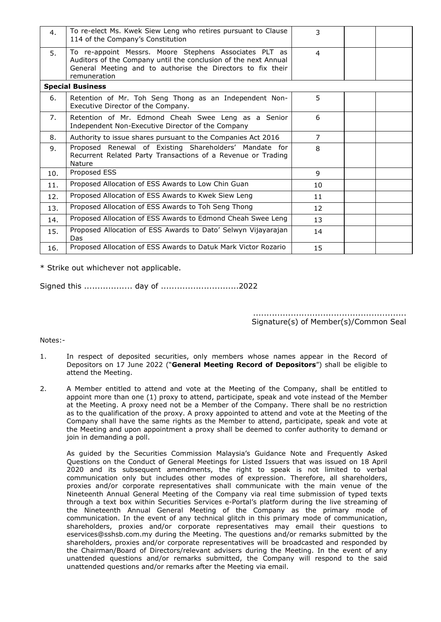| 4.  | To re-elect Ms. Kwek Siew Leng who retires pursuant to Clause<br>114 of the Company's Constitution                                                                                                       | 3                 |  |
|-----|----------------------------------------------------------------------------------------------------------------------------------------------------------------------------------------------------------|-------------------|--|
| .5. | To re-appoint Messrs. Moore Stephens Associates PLT as<br>Auditors of the Company until the conclusion of the next Annual<br>General Meeting and to authorise the Directors to fix their<br>remuneration | $\overline{4}$    |  |
|     | <b>Special Business</b>                                                                                                                                                                                  |                   |  |
| 6.  | Retention of Mr. Toh Seng Thong as an Independent Non-<br>Executive Director of the Company.                                                                                                             | 5                 |  |
| 7.  | Retention of Mr. Edmond Cheah Swee Leng as a Senior<br>Independent Non-Executive Director of the Company                                                                                                 | 6                 |  |
| 8.  | Authority to issue shares pursuant to the Companies Act 2016                                                                                                                                             | $\overline{7}$    |  |
| 9.  | Proposed Renewal of Existing Shareholders' Mandate for<br>Recurrent Related Party Transactions of a Revenue or Trading<br>Nature                                                                         | 8                 |  |
| 10. | Proposed ESS                                                                                                                                                                                             | 9                 |  |
| 11. | Proposed Allocation of ESS Awards to Low Chin Guan                                                                                                                                                       | 10                |  |
| 12. | Proposed Allocation of ESS Awards to Kwek Siew Leng                                                                                                                                                      | 11                |  |
| 13. | Proposed Allocation of ESS Awards to Toh Seng Thong                                                                                                                                                      | $12 \overline{ }$ |  |
| 14. | Proposed Allocation of ESS Awards to Edmond Cheah Swee Leng                                                                                                                                              | 13                |  |
| 15. | Proposed Allocation of ESS Awards to Dato' Selwyn Vijayarajan<br>Das                                                                                                                                     | 14                |  |
| 16. | Proposed Allocation of ESS Awards to Datuk Mark Victor Rozario                                                                                                                                           | 15                |  |

\* Strike out whichever not applicable.

Signed this .................. day of .............................2022

......................................................... Signature(s) of Member(s)/Common Seal

Notes:-

- 1. In respect of deposited securities, only members whose names appear in the Record of Depositors on 17 June 2022 ("**General Meeting Record of Depositors**") shall be eligible to attend the Meeting.
- 2. A Member entitled to attend and vote at the Meeting of the Company, shall be entitled to appoint more than one (1) proxy to attend, participate, speak and vote instead of the Member at the Meeting. A proxy need not be a Member of the Company. There shall be no restriction as to the qualification of the proxy. A proxy appointed to attend and vote at the Meeting of the Company shall have the same rights as the Member to attend, participate, speak and vote at the Meeting and upon appointment a proxy shall be deemed to confer authority to demand or join in demanding a poll.

As guided by the Securities Commission Malaysia's Guidance Note and Frequently Asked Questions on the Conduct of General Meetings for Listed Issuers that was issued on 18 April 2020 and its subsequent amendments, the right to speak is not limited to verbal communication only but includes other modes of expression. Therefore, all shareholders, proxies and/or corporate representatives shall communicate with the main venue of the Nineteenth Annual General Meeting of the Company via real time submission of typed texts through a text box within Securities Services e-Portal's platform during the live streaming of the Nineteenth Annual General Meeting of the Company as the primary mode of communication. In the event of any technical glitch in this primary mode of communication, shareholders, proxies and/or corporate representatives may email their questions to eservices@sshsb.com.my during the Meeting. The questions and/or remarks submitted by the shareholders, proxies and/or corporate representatives will be broadcasted and responded by the Chairman/Board of Directors/relevant advisers during the Meeting. In the event of any unattended questions and/or remarks submitted, the Company will respond to the said unattended questions and/or remarks after the Meeting via email.